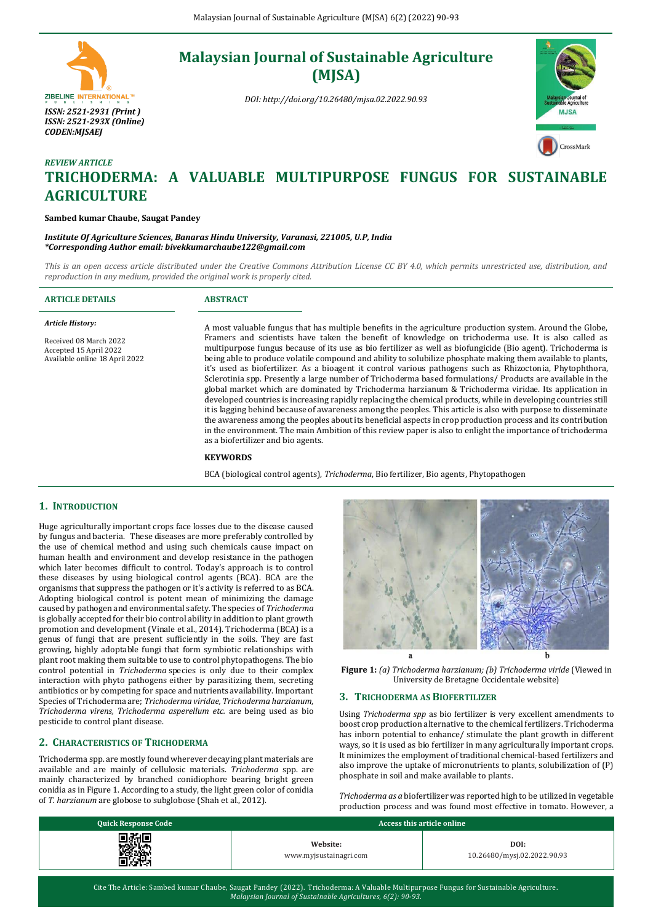# ZIBELINE INTERNATIONAL<sup>TH</sup> *ISSN: 2521-2931 (Print ) ISSN: 2521-293X (Online) CODEN:MJSAEJ*

# **Malaysian Journal of Sustainable Agriculture (MJSA)**

*DOI: http://doi.org/10.26480/mjsa.02.2022.90.93*



# *REVIEW ARTICLE* **TRICHODERMA: A VALUABLE MULTIPURPOSE FUNGUS FOR SUSTAINABLE AGRICULTURE**

#### **Sambed kumar Chaube, Saugat Pandey**

*Institute Of Agriculture Sciences, Banaras Hindu University, Varanasi, 221005, U.P, India \*Corresponding Author email: bivekkumarchaube122@gmail.com*

*This is an open access article distributed under the Creative Commons Attribution License CC BY 4.0, which permits unrestricted use, distribution, and reproduction in any medium, provided the original work is properly cited.*

|                                                                                                                          | A most valuable fungus that has multiple benefits in the agriculture production system. Around the Globe,                                                                                                                                                                                                                                                                                                                                                                                                                                                                                                                                                                                                                                                                                                                                                                                                                                                                                                                                                                                                                               |
|--------------------------------------------------------------------------------------------------------------------------|-----------------------------------------------------------------------------------------------------------------------------------------------------------------------------------------------------------------------------------------------------------------------------------------------------------------------------------------------------------------------------------------------------------------------------------------------------------------------------------------------------------------------------------------------------------------------------------------------------------------------------------------------------------------------------------------------------------------------------------------------------------------------------------------------------------------------------------------------------------------------------------------------------------------------------------------------------------------------------------------------------------------------------------------------------------------------------------------------------------------------------------------|
| <b>Article History:</b>                                                                                                  |                                                                                                                                                                                                                                                                                                                                                                                                                                                                                                                                                                                                                                                                                                                                                                                                                                                                                                                                                                                                                                                                                                                                         |
| Received 08 March 2022<br>Accepted 15 April 2022<br>Available online 18 April 2022<br>as a biofertilizer and bio agents. | Framers and scientists have taken the benefit of knowledge on trichoderma use. It is also called as<br>multipurpose fungus because of its use as bio fertilizer as well as biofungicide (Bio agent). Trichoderma is<br>being able to produce volatile compound and ability to solubilize phosphate making them available to plants,<br>it's used as biofertilizer. As a bioagent it control various pathogens such as Rhizoctonia, Phytophthora,<br>Sclerotinia spp. Presently a large number of Trichoderma based formulations/Products are available in the<br>global market which are dominated by Trichoderma harzianum & Trichoderma viridae. Its application in<br>developed countries is increasing rapidly replacing the chemical products, while in developing countries still<br>it is lagging behind because of awareness among the peoples. This article is also with purpose to disseminate<br>the awareness among the peoples about its beneficial aspects in crop production process and its contribution<br>in the environment. The main Ambition of this review paper is also to enlight the importance of trichoderma |
| <b>KEYWORDS</b>                                                                                                          |                                                                                                                                                                                                                                                                                                                                                                                                                                                                                                                                                                                                                                                                                                                                                                                                                                                                                                                                                                                                                                                                                                                                         |

BCA (biological control agents), *Trichoderma*, Bio fertilizer, Bio agents, Phytopathogen

# **1. INTRODUCTION**

Huge agriculturally important crops face losses due to the disease caused by fungus and bacteria. These diseases are more preferably controlled by the use of chemical method and using such chemicals cause impact on human health and environment and develop resistance in the pathogen which later becomes difficult to control. Today's approach is to control these diseases by using biological control agents (BCA). BCA are the organisms that suppress the pathogen or it's activity is referred to as BCA. Adopting biological control is potent mean of minimizing the damage caused by pathogen and environmental safety. The species of *Trichoderma* is globally accepted for their bio control ability in addition to plant growth promotion and development (Vinale et al., 2014). Trichoderma (BCA) is a genus of fungi that are present sufficiently in the soils. They are fast growing, highly adoptable fungi that form symbiotic relationships with plant root making them suitable to use to control phytopathogens. The bio control potential in *Trichoderma* species is only due to their complex interaction with phyto pathogens either by parasitizing them, secreting antibiotics or by competing for space and nutrients availability. Important Species of Trichoderma are; *Trichoderma viridae, Trichoderma harzianum, Trichoderma virens, Trichoderma asperellum etc.* are being used as bio pesticide to control plant disease.

#### **2. CHARACTERISTICS OF TRICHODERMA**

Trichoderma spp. are mostly found wherever decaying plant materials are available and are mainly of cellulosic materials. *Trichoderma* spp. are mainly characterized by branched conidiophore bearing bright green conidia as in Figure 1. According to a study, the light green color of conidia of *T. harzianum* are globose to subglobose (Shah et al., 2012).



**Figure 1:** *(a) Trichoderma harzianum; (b) Trichoderma viride* (Viewed in University de Bretagne Occidentale website)

#### **3. TRICHODERMA AS BIOFERTILIZER**

Using *Trichoderma spp* as bio fertilizer is very excellent amendments to boost crop production alternative to the chemical fertilizers. Trichoderma has inborn potential to enhance/ stimulate the plant growth in different ways, so it is used as bio fertilizer in many agriculturally important crops. It minimizes the employment of traditional chemical-based fertilizers and also improve the uptake of micronutrients to plants, solubilization of (P) phosphate in soil and make available to plants.

*Trichoderma as a* biofertilizer was reported high to be utilized in vegetable production process and was found most effective in tomato. However, a

| <b>Quick Response Code</b>       | Access this article online         |                                     |  |
|----------------------------------|------------------------------------|-------------------------------------|--|
| 72 J G<br>1971.<br>2001<br>ra ya | Website:<br>www.myjsustainagri.com | DOI:<br>10.26480/mysj.02.2022.90.93 |  |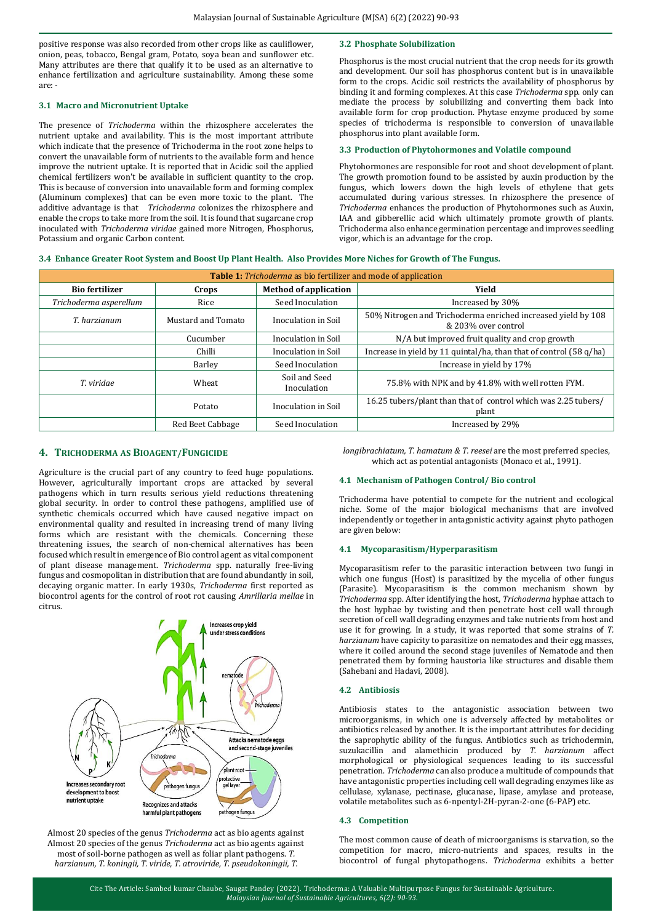positive response was also recorded from other crops like as cauliflower, onion, peas, tobacco, Bengal gram, Potato, soya bean and sunflower etc. Many attributes are there that qualify it to be used as an alternative to enhance fertilization and agriculture sustainability. Among these some are: -

#### **3.1 Macro and Micronutrient Uptake**

The presence of *Trichoderma* within the rhizosphere accelerates the nutrient uptake and availability. This is the most important attribute which indicate that the presence of Trichoderma in the root zone helps to convert the unavailable form of nutrients to the available form and hence improve the nutrient uptake. It is reported that in Acidic soil the applied chemical fertilizers won't be available in sufficient quantity to the crop. This is because of conversion into unavailable form and forming complex (Aluminum complexes) that can be even more toxic to the plant. The additive advantage is that *Trichoderma* colonizes the rhizosphere and enable the crops to take more from the soil. It is found that sugarcane crop inoculated with *Trichoderma viridae* gained more Nitrogen, Phosphorus, Potassium and organic Carbon content.

# **3.2 Phosphate Solubilization**

Phosphorus is the most crucial nutrient that the crop needs for its growth and development. Our soil has phosphorus content but is in unavailable form to the crops. Acidic soil restricts the availability of phosphorus by binding it and forming complexes. At this case *Trichoderma* spp. only can mediate the process by solubilizing and converting them back into available form for crop production. Phytase enzyme produced by some species of trichoderma is responsible to conversion of unavailable phosphorus into plant available form.

#### **3.3 Production of Phytohormones and Volatile compound**

Phytohormones are responsible for root and shoot development of plant. The growth promotion found to be assisted by auxin production by the fungus, which lowers down the high levels of ethylene that gets accumulated during various stresses. In rhizosphere the presence of *Trichoderma* enhances the production of Phytohormones such as Auxin, IAA and gibberellic acid which ultimately promote growth of plants. Trichoderma also enhance germination percentage and improves seedling vigor, which is an advantage for the crop.

#### **3.4 Enhance Greater Root System and Boost Up Plant Health. Also Provides More Niches for Growth of The Fungus.**

| Table 1: Trichoderma as bio fertilizer and mode of application |                    |                              |                                                                                     |  |  |
|----------------------------------------------------------------|--------------------|------------------------------|-------------------------------------------------------------------------------------|--|--|
| <b>Bio fertilizer</b>                                          | Crops              | <b>Method of application</b> | Yield                                                                               |  |  |
| Trichoderma asperellum                                         | Rice               | Seed Inoculation             | Increased by 30%                                                                    |  |  |
| T. harzianum                                                   | Mustard and Tomato | Inoculation in Soil          | 50% Nitrogen and Trichoderma enriched increased yield by 108<br>& 203% over control |  |  |
|                                                                | Cucumber           | Inoculation in Soil          | N/A but improved fruit quality and crop growth                                      |  |  |
|                                                                | Chilli             | Inoculation in Soil          | Increase in yield by 11 quintal/ha, than that of control (58 q/ha)                  |  |  |
|                                                                | Barley             | Seed Inoculation             | Increase in yield by 17%                                                            |  |  |
| T. viridae                                                     | Wheat              | Soil and Seed<br>Inoculation | 75.8% with NPK and by 41.8% with well rotten FYM.                                   |  |  |
|                                                                | Potato             | Inoculation in Soil          | 16.25 tubers/plant than that of control which was 2.25 tubers/<br>plant             |  |  |
|                                                                | Red Beet Cabbage   | Seed Inoculation             | Increased by 29%                                                                    |  |  |

## **4. TRICHODERMA AS BIOAGENT/FUNGICIDE**

Agriculture is the crucial part of any country to feed huge populations. However, agriculturally important crops are attacked by several pathogens which in turn results serious yield reductions threatening global security. In order to control these pathogens, amplified use of synthetic chemicals occurred which have caused negative impact on environmental quality and resulted in increasing trend of many living forms which are resistant with the chemicals. Concerning these threatening issues, the search of non-chemical alternatives has been focused which result in emergence of Bio control agent as vital component of plant disease management. *Trichoderma* spp. naturally free-living fungus and cosmopolitan in distribution that are found abundantly in soil, decaying organic matter. In early 1930s, *Trichoderma* first reported as biocontrol agents for the control of root rot causing *Amrillaria mellae* in citrus.



Almost 20 species of the genus *Trichoderma* act as bio agents against Almost 20 species of the genus *Trichoderma* act as bio agents against most of soil-borne pathogen as well as foliar plant pathogens. *T. harzianum, T. koningii, T. viride, T. atroviride, T. pseudokoningii, T.* 

*longibrachiatum, T. hamatum & T. reesei* are the most preferred species, which act as potential antagonists (Monaco et al., 1991).

#### **4.1 Mechanism of Pathogen Control/ Bio control**

Trichoderma have potential to compete for the nutrient and ecological niche. Some of the major biological mechanisms that are involved independently or together in antagonistic activity against phyto pathogen are given below:

#### **4.1 Mycoparasitism/Hyperparasitism**

Mycoparasitism refer to the parasitic interaction between two fungi in which one fungus (Host) is parasitized by the mycelia of other fungus (Parasite). Mycoparasitism is the common mechanism shown by *Trichoderma* spp. After identifying the host, *Trichoderma* hyphae attach to the host hyphae by twisting and then penetrate host cell wall through secretion of cell wall degrading enzymes and take nutrients from host and use it for growing. In a study, it was reported that some strains of *T. harzianum* have capicity to parasitize on nematodes and their egg masses, where it coiled around the second stage juveniles of Nematode and then penetrated them by forming haustoria like structures and disable them (Sahebani and Hadavi, 2008).

## **4.2 Antibiosis**

Antibiosis states to the antagonistic association between two microorganisms, in which one is adversely affected by metabolites or antibiotics released by another. It is the important attributes for deciding the saprophytic ability of the fungus. Antibiotics such as trichodermin, suzukacillin and alamethicin produced by *T. harzianum* affect morphological or physiological sequences leading to its successful penetration. *Trichoderma* can also produce a multitude of compounds that have antagonistic properties including cell wall degrading enzymes like as cellulase, xylanase, pectinase, glucanase, lipase, amylase and protease, volatile metabolites such as 6-npentyl-2H-pyran-2-one (6-PAP) etc.

#### **4.3 Competition**

The most common cause of death of microorganisms is starvation, so the competition for macro, micro-nutrients and spaces, results in the biocontrol of fungal phytopathogens. *Trichoderma* exhibits a better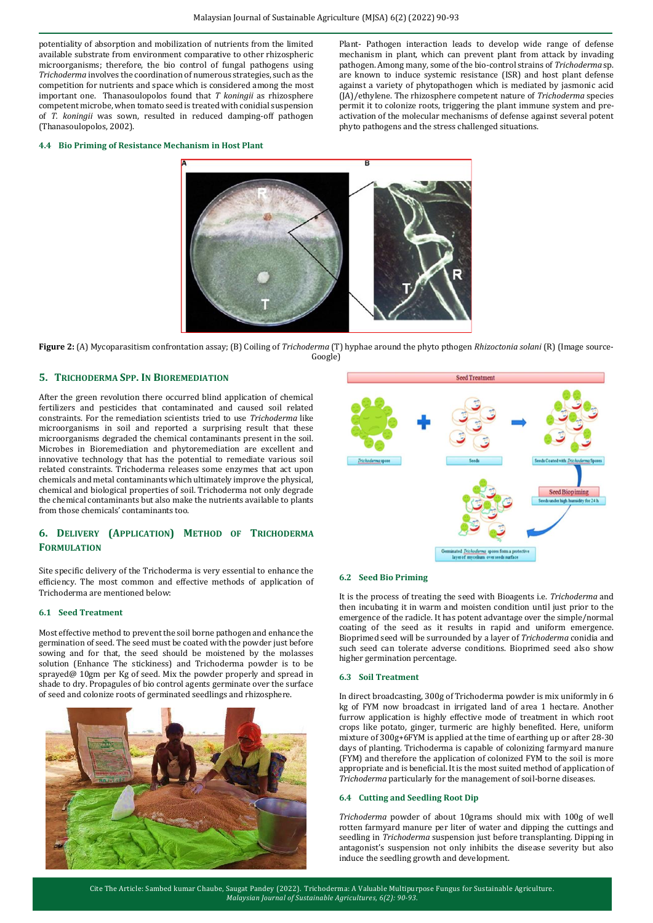potentiality of absorption and mobilization of nutrients from the limited available substrate from environment comparative to other rhizospheric microorganisms; therefore, the bio control of fungal pathogens using *Trichoderma* involves the coordination of numerous strategies, such as the competition for nutrients and space which is considered among the most important one. Thanasoulopolos found that *T koningii* as rhizosphere competent microbe, when tomato seed is treated with conidial suspension of *T. koningii* was sown, resulted in reduced damping-off pathogen (Thanasoulopolos, 2002).

Plant- Pathogen interaction leads to develop wide range of defense mechanism in plant, which can prevent plant from attack by invading pathogen. Among many, some of the bio-control strains of *Trichoderma* sp. are known to induce systemic resistance (ISR) and host plant defense against a variety of phytopathogen which is mediated by jasmonic acid (JA)/ethylene. The rhizosphere competent nature of *Trichoderma* species permit it to colonize roots, triggering the plant immune system and preactivation of the molecular mechanisms of defense against several potent phyto pathogens and the stress challenged situations.

#### **4.4 Bio Priming of Resistance Mechanism in Host Plant**



**Figure 2:** (A) Mycoparasitism confrontation assay; (B) Coiling of *Trichoderma* (T) hyphae around the phyto pthogen *Rhizoctonia solani* (R) (Image source-Google)

## **5. TRICHODERMA SPP. IN BIOREMEDIATION**

After the green revolution there occurred blind application of chemical fertilizers and pesticides that contaminated and caused soil related constraints. For the remediation scientists tried to use *Trichoderma* like microorganisms in soil and reported a surprising result that these microorganisms degraded the chemical contaminants present in the soil. Microbes in Bioremediation and phytoremediation are excellent and innovative technology that has the potential to remediate various soil related constraints. Trichoderma releases some enzymes that act upon chemicals and metal contaminants which ultimately improve the physical, chemical and biological properties of soil. Trichoderma not only degrade the chemical contaminants but also make the nutrients available to plants from those chemicals' contaminants too.

# **6. DELIVERY (APPLICATION) METHOD OF TRICHODERMA FORMULATION**

Site specific delivery of the Trichoderma is very essential to enhance the efficiency. The most common and effective methods of application of Trichoderma are mentioned below:

#### **6.1 Seed Treatment**

Most effective method to prevent the soil borne pathogen and enhance the germination of seed. The seed must be coated with the powder just before sowing and for that, the seed should be moistened by the molasses solution (Enhance The stickiness) and Trichoderma powder is to be sprayed@ 10gm per Kg of seed. Mix the powder properly and spread in shade to dry. Propagules of bio control agents germinate over the surface of seed and colonize roots of germinated seedlings and rhizosphere.





#### **6.2 Seed Bio Priming**

It is the process of treating the seed with Bioagents i.e. *Trichoderma* and then incubating it in warm and moisten condition until just prior to the emergence of the radicle. It has potent advantage over the simple/normal coating of the seed as it results in rapid and uniform emergence. Bioprimed seed will be surrounded by a layer of *Trichoderma* conidia and such seed can tolerate adverse conditions. Bioprimed seed also show higher germination percentage.

#### **6.3 Soil Treatment**

In direct broadcasting, 300g of Trichoderma powder is mix uniformly in 6 kg of FYM now broadcast in irrigated land of area 1 hectare. Another furrow application is highly effective mode of treatment in which root crops like potato, ginger, turmeric are highly benefited. Here, uniform mixture of 300g+6FYM is applied at the time of earthing up or after 28-30 days of planting. Trichoderma is capable of colonizing farmyard manure (FYM) and therefore the application of colonized FYM to the soil is more appropriate and is beneficial. It is the most suited method of application of *Trichoderma* particularly for the management of soil-borne diseases.

#### **6.4 Cutting and Seedling Root Dip**

*Trichoderma* powder of about 10grams should mix with 100g of well rotten farmyard manure per liter of water and dipping the cuttings and seedling in *Trichoderma* suspension just before transplanting. Dipping in antagonist's suspension not only inhibits the disease severity but also induce the seedling growth and development.

Cite The Article: Sambed kumar Chaube, Saugat Pandey (2022). Trichoderma: A Valuable Multipurpose Fungus for Sustainable Agriculture. *Malaysian Journal of Sustainable Agricultures, 6(2): 90-93*.